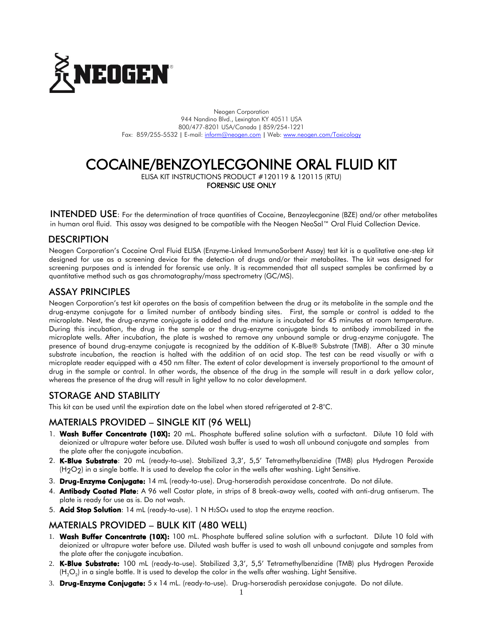

Neogen Corporation 944 Nandino Blvd., Lexington KY 40511 USA 800/477-8201 USA/Canada | 859/254-1221 Fax: 859/255-5532 | E-mail[: inform@neogen.com](mailto:inform@neogen.com) | Web[: www.neogen.com/Toxicology](http://www.neogen.com/Toxicology)

# COCAINE/BENZOYLECGONINE ORAL FLUID KIT

ELISA KIT INSTRUCTIONS PRODUCT #120119 & 120115 (RTU) FORENSIC USE ONLY

INTENDED USE: For the determination of trace quantities of Cocaine, Benzoylecgonine (BZE) and/or other metabolites in human oral fluid. This assay was designed to be compatible with the Neogen NeoSal™ Oral Fluid Collection Device.

# **DESCRIPTION**

Neogen Corporation's Cocaine Oral Fluid ELISA (Enzyme-Linked ImmunoSorbent Assay) test kit is a qualitative one-step kit designed for use as a screening device for the detection of drugs and/or their metabolites. The kit was designed for screening purposes and is intended for forensic use only. It is recommended that all suspect samples be confirmed by a quantitative method such as gas chromatography/mass spectrometry (GC/MS).

### ASSAY PRINCIPLES

Neogen Corporation's test kit operates on the basis of competition between the drug or its metabolite in the sample and the drug-enzyme conjugate for a limited number of antibody binding sites. First, the sample or control is added to the microplate. Next, the drug-enzyme conjugate is added and the mixture is incubated for 45 minutes at room temperature. During this incubation, the drug in the sample or the drug-enzyme conjugate binds to antibody immobilized in the microplate wells. After incubation, the plate is washed to remove any unbound sample or drug-enzyme conjugate. The presence of bound drug-enzyme conjugate is recognized by the addition of K-Blue® Substrate (TMB). After a 30 minute substrate incubation, the reaction is halted with the addition of an acid stop. The test can be read visually or with a microplate reader equipped with a 450 nm filter. The extent of color development is inversely proportional to the amount of drug in the sample or control. In other words, the absence of the drug in the sample will result in a dark yellow color, whereas the presence of the drug will result in light yellow to no color development.

### STORAGE AND STABILITY

This kit can be used until the expiration date on the label when stored refrigerated at 2-8°C.

### MATERIALS PROVIDED – SINGLE KIT (96 WELL)

- 1. Wash Buffer Concentrate (10X): 20 mL. Phosphate buffered saline solution with a surfactant. Dilute 10 fold with deionized or ultrapure water before use. Diluted wash buffer is used to wash all unbound conjugate and samples from the plate after the conjugate incubation.
- 2. K-Blue Substrate: 20 mL (ready-to-use). Stabilized 3,3', 5,5' Tetramethylbenzidine (TMB) plus Hydrogen Peroxide  $(H_2O_2)$  in a single bottle. It is used to develop the color in the wells after washing. Light Sensitive.
- 3. Drug-Enzyme Conjugate: 14 mL (ready-to-use). Drug-horseradish peroxidase concentrate. Do not dilute.
- 4. Antibody Coated Plate: A 96 well Costar plate, in strips of 8 break-away wells, coated with anti-drug antiserum. The plate is ready for use as is. Do not wash.
- 5. **Acid Stop Solution**: 14 mL (ready-to-use). 1 N  $H_2SO_4$  used to stop the enzyme reaction.

### MATERIALS PROVIDED – BULK KIT (480 WELL)

- 1. Wash Buffer Concentrate (10X): 100 mL. Phosphate buffered saline solution with a surfactant. Dilute 10 fold with deionized or ultrapure water before use. Diluted wash buffer is used to wash all unbound conjugate and samples from the plate after the conjugate incubation.
- 2. K-Blue Substrate: 100 mL (ready-to-use). Stabilized 3,3', 5,5' Tetramethylbenzidine (TMB) plus Hydrogen Peroxide (H $_{2}$ O $_{2}$ ) in a single bottle. It is used to develop the color in the wells after washing. Light Sensitive.
- 3. Drug-Enzyme Conjugate: 5 x 14 mL. (ready-to-use). Drug-horseradish peroxidase conjugate. Do not dilute.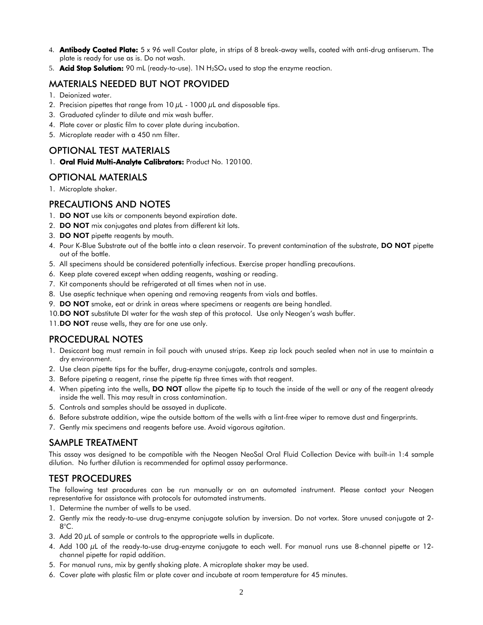- 4. **Antibody Coated Plate:** 5 x 96 well Costar plate, in strips of 8 break-away wells, coated with anti-drug antiserum. The plate is ready for use as is. Do not wash.
- 5. **Acid Stop Solution:** 90 mL (ready-to-use). 1N  $H_2$ SO<sub>4</sub> used to stop the enzyme reaction.

# MATERIALS NEEDED BUT NOT PROVIDED

- 1. Deionized water.
- 2. Precision pipettes that range from  $10 \mu$ L  $1000 \mu$ L and disposable tips.
- 3. Graduated cylinder to dilute and mix wash buffer.
- 4. Plate cover or plastic film to cover plate during incubation.
- 5. Microplate reader with a 450 nm filter.

# OPTIONAL TEST MATERIALS

1. Oral Fluid Multi-Analyte Calibrators: Product No. 120100.

# OPTIONAL MATERIALS

1. Microplate shaker.

# PRECAUTIONS AND NOTES

- 1. DO NOT use kits or components beyond expiration date.
- 2. DO NOT mix conjugates and plates from different kit lots.
- 3. DO NOT pipette reagents by mouth.
- 4. Pour K-Blue Substrate out of the bottle into a clean reservoir. To prevent contamination of the substrate, DO NOT pipette out of the bottle.
- 5. All specimens should be considered potentially infectious. Exercise proper handling precautions.
- 6. Keep plate covered except when adding reagents, washing or reading.
- 7. Kit components should be refrigerated at all times when not in use.
- 8. Use aseptic technique when opening and removing reagents from vials and bottles.
- 9. DO NOT smoke, eat or drink in areas where specimens or reagents are being handled.
- 10.**DO NOT** substitute DI water for the wash step of this protocol. Use only Neogen's wash buffer.
- 11.DO NOT reuse wells, they are for one use only.

### PROCEDURAL NOTES

- 1. Desiccant bag must remain in foil pouch with unused strips. Keep zip lock pouch sealed when not in use to maintain a dry environment.
- 2. Use clean pipette tips for the buffer, drug-enzyme conjugate, controls and samples.
- 3. Before pipeting a reagent, rinse the pipette tip three times with that reagent.
- 4. When pipeting into the wells, **DO NOT** allow the pipette tip to touch the inside of the well or any of the reagent already inside the well. This may result in cross contamination.
- 5. Controls and samples should be assayed in duplicate.
- 6. Before substrate addition, wipe the outside bottom of the wells with a lint-free wiper to remove dust and fingerprints.
- 7. Gently mix specimens and reagents before use. Avoid vigorous agitation.

# SAMPLE TREATMENT

This assay was designed to be compatible with the Neogen NeoSal Oral Fluid Collection Device with built-in 1:4 sample dilution. No further dilution is recommended for optimal assay performance.

# TEST PROCEDURES

The following test procedures can be run manually or on an automated instrument. Please contact your Neogen representative for assistance with protocols for automated instruments.

- 1. Determine the number of wells to be used.
- 2. Gently mix the ready-to-use drug-enzyme conjugate solution by inversion. Do not vortex. Store unused conjugate at 2- 8°C.
- 3. Add 20  $\mu$ L of sample or controls to the appropriate wells in duplicate.
- 4. Add 100 µL of the ready-to-use drug-enzyme conjugate to each well. For manual runs use 8-channel pipette or 12channel pipette for rapid addition.
- 5. For manual runs, mix by gently shaking plate. A microplate shaker may be used.
- 6. Cover plate with plastic film or plate cover and incubate at room temperature for 45 minutes.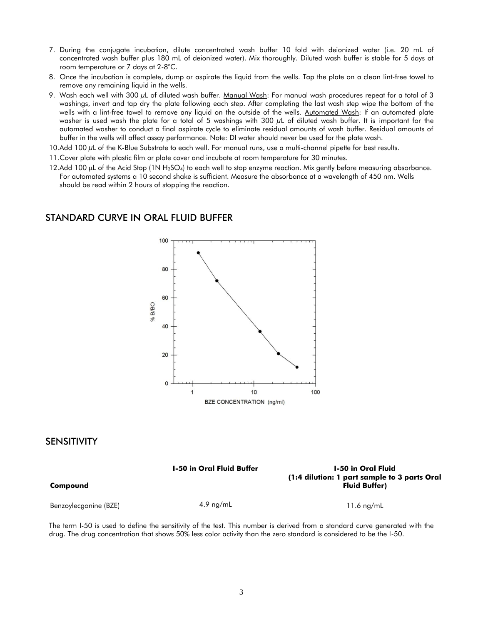- 7. During the conjugate incubation, dilute concentrated wash buffer 10 fold with deionized water (i.e. 20 mL of concentrated wash buffer plus 180 mL of deionized water). Mix thoroughly. Diluted wash buffer is stable for 5 days at room temperature or 7 days at 2-8°C.
- 8. Once the incubation is complete, dump or aspirate the liquid from the wells. Tap the plate on a clean lint-free towel to remove any remaining liquid in the wells.
- 9. Wash each well with 300  $\mu$ L of diluted wash buffer. Manual Wash: For manual wash procedures repeat for a total of 3 washings, invert and tap dry the plate following each step. After completing the last wash step wipe the bottom of the wells with a lint-free towel to remove any liquid on the outside of the wells. Automated Wash: If an automated plate washer is used wash the plate for a total of 5 washings with 300 µL of diluted wash buffer. It is important for the automated washer to conduct a final aspirate cycle to eliminate residual amounts of wash buffer. Residual amounts of buffer in the wells will affect assay performance. Note: DI water should never be used for the plate wash.
- 10.Add 100 µL of the K-Blue Substrate to each well. For manual runs, use a multi-channel pipette for best results.
- 11.Cover plate with plastic film or plate cover and incubate at room temperature for 30 minutes.
- 12.Add 100  $\mu$ L of the Acid Stop (1N H<sub>2</sub>SO<sub>4</sub>) to each well to stop enzyme reaction. Mix gently before measuring absorbance. For automated systems a 10 second shake is sufficient. Measure the absorbance at a wavelength of 450 nm. Wells should be read within 2 hours of stopping the reaction.

# STANDARD CURVE IN ORAL FLUID BUFFER



#### **SENSITIVITY**

**Compound**

| Compound              | <b>1-50 in Oral Fluid Buffer</b> | <b>I-50 in Oral Fluid</b><br>(1:4 dilution: 1 part sample to 3 parts Oral<br><b>Fluid Buffer)</b> |
|-----------------------|----------------------------------|---------------------------------------------------------------------------------------------------|
| Benzoylecgonine (BZE) | $4.9 \text{ ng/mL}$              | 11.6 $nq/mL$                                                                                      |

The term I-50 is used to define the sensitivity of the test. This number is derived from a standard curve generated with the drug. The drug concentration that shows 50% less color activity than the zero standard is considered to be the I-50.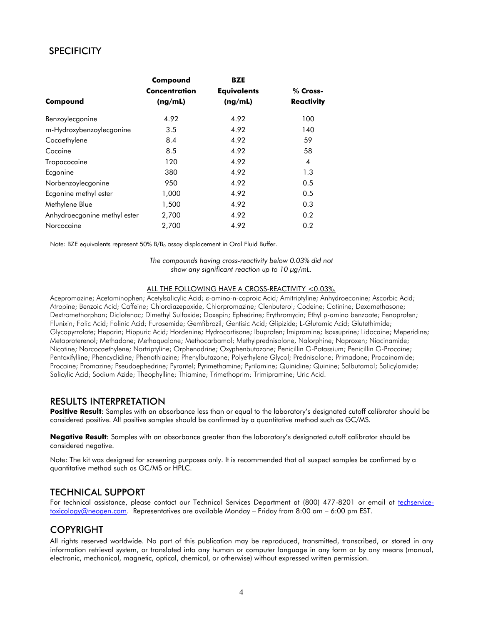# **SPECIFICITY**

|                              | Compound<br><b>Concentration</b><br>(ng/mL) | <b>BZE</b><br><b>Equivalents</b><br>(ng/mL) | % Cross-<br><b>Reactivity</b> |
|------------------------------|---------------------------------------------|---------------------------------------------|-------------------------------|
|                              |                                             |                                             |                               |
| Benzoylecgonine              |                                             |                                             |                               |
| m-Hydroxybenzoylecgonine     | 3.5                                         | 4.92                                        | 140                           |
| Cocaethylene                 | 8.4                                         | 4.92                                        | 59                            |
| Cocaine                      | 8.5                                         | 4.92                                        | 58                            |
| Tropacocaine                 | 120                                         | 4.92                                        | $\overline{4}$                |
| Ecgonine                     | 380                                         | 4.92                                        | 1.3                           |
| Norbenzoylecgonine           | 950                                         | 4.92                                        | 0.5                           |
| Ecgonine methyl ester        | 1,000                                       | 4.92                                        | 0.5                           |
| Methylene Blue               | 1,500                                       | 4.92                                        | 0.3                           |
| Anhydroecgonine methyl ester | 2,700                                       | 4.92                                        | 0.2                           |
| Norcocaine                   | 2,700                                       | 4.92                                        | 0.2                           |

Note: BZE equivalents represent 50%  $B/B<sub>0</sub>$  assay displacement in Oral Fluid Buffer.

*The compounds having cross-reactivity below 0.03% did not show any significant reaction up to 10 µg/mL.*

#### ALL THE FOLLOWING HAVE A CROSS-REACTIVITY <0.03%.

Acepromazine; Acetaminophen; Acetylsalicylic Acid;  $\varepsilon$ -amino-n-caproic Acid; Amitriptyline; Anhydroeconine; Ascorbic Acid; Atropine; Benzoic Acid; Caffeine; Chlordiazepoxide, Chlorpromazine; Clenbuterol; Codeine; Cotinine; Dexamethasone; Dextromethorphan; Diclofenac; Dimethyl Sulfoxide; Doxepin; Ephedrine; Erythromycin; Ethyl p-amino benzoate; Fenoprofen; Flunixin; Folic Acid; Folinic Acid; Furosemide; Gemfibrozil; Gentisic Acid; Glipizide; L-Glutamic Acid; Glutethimide; Glycopyrrolate; Heparin; Hippuric Acid; Hordenine; Hydrocortisone; Ibuprofen; Imipramine; Isoxsuprine; Lidocaine; Meperidine; Metaproterenol; Methadone; Methaqualone; Methocarbamol; Methylprednisolone, Nalorphine; Naproxen; Niacinamide; Nicotine; Norcocaethylene; Nortriptyline; Orphenadrine; Oxyphenbutazone; Penicillin G-Potassium; Penicillin G-Procaine; Pentoxifylline; Phencyclidine; Phenothiazine; Phenylbutazone; Polyethylene Glycol; Prednisolone; Primadone; Procainamide; Procaine; Promazine; Pseudoephedrine; Pyrantel; Pyrimethamine; Pyrilamine; Quinidine; Quinine; Salbutamol; Salicylamide; Salicylic Acid; Sodium Azide; Theophylline; Thiamine; Trimethoprim; Trimipramine; Uric Acid.

#### RESULTS INTERPRETATION

Positive Result: Samples with an absorbance less than or equal to the laboratory's designated cutoff calibrator should be considered positive. All positive samples should be confirmed by a quantitative method such as GC/MS.

**Negative Result**: Samples with an absorbance greater than the laboratory's designated cutoff calibrator should be considered negative.

Note: The kit was designed for screening purposes only. It is recommended that all suspect samples be confirmed by a quantitative method such as GC/MS or HPLC.

#### TECHNICAL SUPPORT

For technical assistance, please contact our Technical Services Department at (800) 477-8201 or email at [techservice](mailto:techservice-toxicology@neogen.com)[toxicology@neogen.com.](mailto:techservice-toxicology@neogen.com) Representatives are available Monday – Friday from 8:00 am – 6:00 pm EST.

### COPYRIGHT

All rights reserved worldwide. No part of this publication may be reproduced, transmitted, transcribed, or stored in any information retrieval system, or translated into any human or computer language in any form or by any means (manual, electronic, mechanical, magnetic, optical, chemical, or otherwise) without expressed written permission.